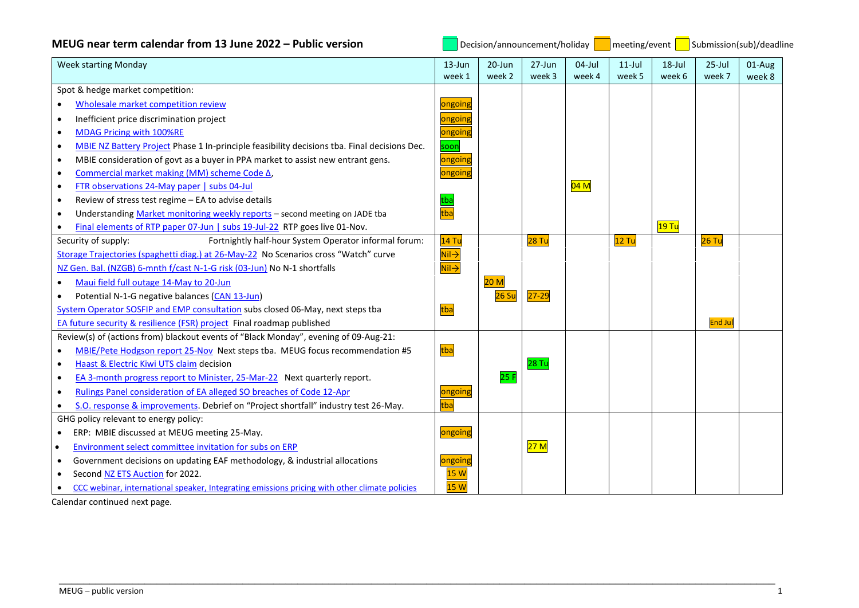| MEUG near term calendar from 13 June 2022 – Public version                                                |                                        | Decision/announcement/holiday |                   |           |           |        | meeting/event   Submission(sub)/deadline |        |  |
|-----------------------------------------------------------------------------------------------------------|----------------------------------------|-------------------------------|-------------------|-----------|-----------|--------|------------------------------------------|--------|--|
| <b>Week starting Monday</b>                                                                               | $13 - Jun$                             | 20-Jun                        | $27 - Jun$        | $04$ -Jul | $11$ -Jul | 18-Jul | $25$ -Jul                                | 01-Aug |  |
| Spot & hedge market competition:                                                                          | week 1                                 | week 2                        | week 3            | week 4    | week 5    | week 6 | week 7                                   | week 8 |  |
| Wholesale market competition review<br>$\bullet$                                                          | ongoing                                |                               |                   |           |           |        |                                          |        |  |
| Inefficient price discrimination project<br>$\bullet$                                                     | ongoin                                 |                               |                   |           |           |        |                                          |        |  |
| MDAG Pricing with 100%RE<br>$\bullet$                                                                     | ongoing                                |                               |                   |           |           |        |                                          |        |  |
| MBIE NZ Battery Project Phase 1 In-principle feasibility decisions tba. Final decisions Dec.<br>$\bullet$ | soon                                   |                               |                   |           |           |        |                                          |        |  |
| MBIE consideration of govt as a buyer in PPA market to assist new entrant gens.<br>$\bullet$              | ongoing                                |                               |                   |           |           |        |                                          |        |  |
| Commercial market making (MM) scheme Code △,<br>$\bullet$                                                 | ongoing                                |                               |                   |           |           |        |                                          |        |  |
| FTR observations 24-May paper   subs 04-Jul<br>$\bullet$                                                  |                                        |                               |                   | 04 M      |           |        |                                          |        |  |
| Review of stress test regime - EA to advise details<br>$\bullet$                                          |                                        |                               |                   |           |           |        |                                          |        |  |
| Understanding Market monitoring weekly reports - second meeting on JADE tba<br>$\bullet$                  | tba<br>tba                             |                               |                   |           |           |        |                                          |        |  |
| Final elements of RTP paper 07-Jun   subs 19-Jul-22 RTP goes live 01-Nov.                                 |                                        |                               |                   |           |           | 19 Tu  |                                          |        |  |
| Security of supply:<br>Fortnightly half-hour System Operator informal forum:                              | 14 Tu                                  |                               | 28 Tu             |           | 12 Tu     |        | $26$ Tu                                  |        |  |
| Storage Trajectories (spaghetti diag.) at 26-May-22 No Scenarios cross "Watch" curve                      |                                        |                               |                   |           |           |        |                                          |        |  |
| NZ Gen. Bal. (NZGB) 6-mnth f/cast N-1-G risk (03-Jun) No N-1 shortfalls                                   | <mark>Nil→</mark><br><mark>Nil→</mark> |                               |                   |           |           |        |                                          |        |  |
| Maui field full outage 14-May to 20-Jun<br>$\bullet$                                                      |                                        | 20 <sub>M</sub>               |                   |           |           |        |                                          |        |  |
| Potential N-1-G negative balances (CAN 13-Jun)<br>$\bullet$                                               |                                        | 26 S <sub>u</sub>             | $27 - 29$         |           |           |        |                                          |        |  |
| System Operator SOSFIP and EMP consultation subs closed 06-May, next steps tba                            | tba                                    |                               |                   |           |           |        |                                          |        |  |
| EA future security & resilience (FSR) project Final roadmap published                                     |                                        |                               |                   |           |           |        | <b>End Jul</b>                           |        |  |
| Review(s) of (actions from) blackout events of "Black Monday", evening of 09-Aug-21:                      |                                        |                               |                   |           |           |        |                                          |        |  |
| MBIE/Pete Hodgson report 25-Nov Next steps tba. MEUG focus recommendation #5<br>$\bullet$                 | tba                                    |                               |                   |           |           |        |                                          |        |  |
| Haast & Electric Kiwi UTS claim decision<br>$\bullet$                                                     |                                        |                               | 28 Tu             |           |           |        |                                          |        |  |
| EA 3-month progress report to Minister, 25-Mar-22 Next quarterly report.<br>$\bullet$                     |                                        | 25F                           |                   |           |           |        |                                          |        |  |
| Rulings Panel consideration of EA alleged SO breaches of Code 12-Apr<br>$\bullet$                         | ongoing                                |                               |                   |           |           |        |                                          |        |  |
| S.O. response & improvements. Debrief on "Project shortfall" industry test 26-May.<br>$\bullet$           | tba                                    |                               |                   |           |           |        |                                          |        |  |
| GHG policy relevant to energy policy:                                                                     |                                        |                               |                   |           |           |        |                                          |        |  |
| ERP: MBIE discussed at MEUG meeting 25-May.<br>$\bullet$                                                  | ongoing                                |                               |                   |           |           |        |                                          |        |  |
| Environment select committee invitation for subs on ERP<br>$\bullet$                                      |                                        |                               | <mark>27 M</mark> |           |           |        |                                          |        |  |
| Government decisions on updating EAF methodology, & industrial allocations<br>$\bullet$                   | ongoing                                |                               |                   |           |           |        |                                          |        |  |
| Second NZ ETS Auction for 2022.                                                                           | 15W                                    |                               |                   |           |           |        |                                          |        |  |
| CCC webinar, international speaker, Integrating emissions pricing with other climate policies<br>٠        | 15W                                    |                               |                   |           |           |        |                                          |        |  |

\_\_\_\_\_\_\_\_\_\_\_\_\_\_\_\_\_\_\_\_\_\_\_\_\_\_\_\_\_\_\_\_\_\_\_\_\_\_\_\_\_\_\_\_\_\_\_\_\_\_\_\_\_\_\_\_\_\_\_\_\_\_\_\_\_\_\_\_\_\_\_\_\_\_\_\_\_\_\_\_\_\_\_\_\_\_\_\_\_\_\_\_\_\_\_\_\_\_\_\_\_\_\_\_\_\_\_\_\_\_\_\_\_\_\_\_\_

Calendar continued next page.